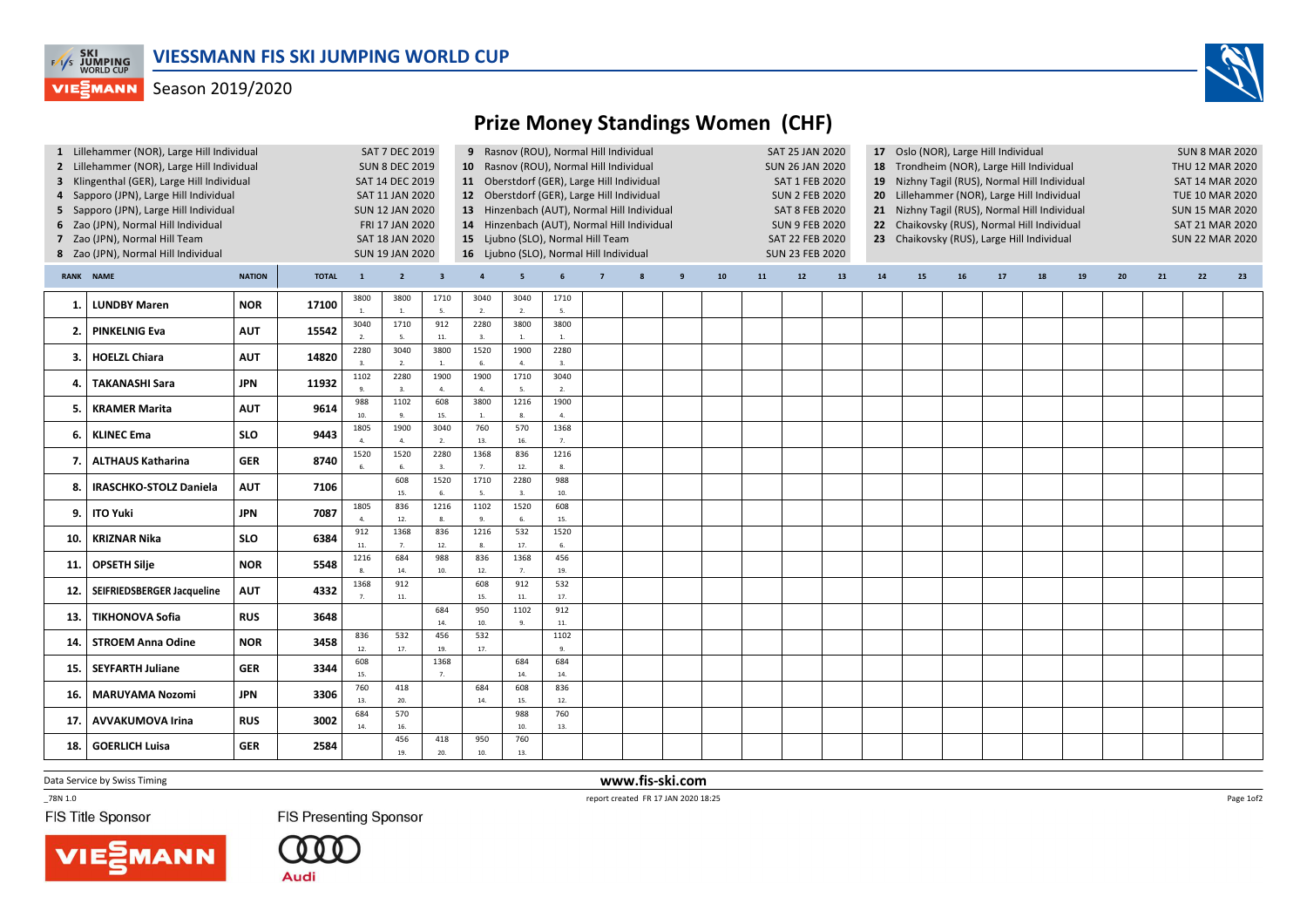

## **VIESMANN** Season 2019/2020



## Prize Money Standings Women (CHF)

| 1 Lillehammer (NOR), Large Hill Individual<br>2 Lillehammer (NOR), Large Hill Individual<br>3 Klingenthal (GER), Large Hill Individual<br>4 Sapporo (JPN), Large Hill Individual<br>5 Sapporo (JPN), Large Hill Individual<br>6 Zao (JPN), Normal Hill Individual<br>7 Zao (JPN), Normal Hill Team<br>8 Zao (JPN), Normal Hill Individual |                               |               |              |                  | SAT 7 DEC 2019<br><b>SUN 8 DEC 2019</b><br>SAT 14 DEC 2019<br>SAT 11 JAN 2020<br><b>SUN 12 JAN 2020</b><br>FRI 17 JAN 2020<br>SAT 18 JAN 2020<br><b>SUN 19 JAN 2020</b> |                         | 10 Rasnov (ROU), Normal Hill Individual<br>11 Oberstdorf (GER), Large Hill Individual<br>12 Oberstdorf (GER), Large Hill Individual<br>13 Hinzenbach (AUT), Normal Hill Individual<br>14 Hinzenbach (AUT), Normal Hill Individual<br>15 Ljubno (SLO), Normal Hill Team<br>16 Ljubno (SLO), Normal Hill Individual | 9 Rasnov (ROU), Normal Hill Individual |                        |                |   |    |    | <b>SAT 25 JAN 2020</b><br><b>SUN 26 JAN 2020</b><br><b>SAT 1 FEB 2020</b><br><b>SUN 2 FEB 2020</b><br><b>SAT 8 FEB 2020</b><br><b>SUN 9 FEB 2020</b><br><b>SAT 22 FEB 2020</b><br><b>SUN 23 FEB 2020</b> |    | 17 Oslo (NOR), Large Hill Individual<br>18 Trondheim (NOR), Large Hill Individual<br>19 Nizhny Tagil (RUS), Normal Hill Individual<br>Lillehammer (NOR), Large Hill Individual<br>20 <sub>2</sub><br>21 Nizhny Tagil (RUS), Normal Hill Individual<br>22 Chaikovsky (RUS), Normal Hill Individual<br>23 Chaikovsky (RUS), Large Hill Individual |    |    |    |    |    |    |    | <b>SUN 8 MAR 2020</b><br>THU 12 MAR 2020<br><b>SAT 14 MAR 2020</b><br><b>TUE 10 MAR 2020</b><br><b>SUN 15 MAR 2020</b><br>SAT 21 MAR 2020<br><b>SUN 22 MAR 2020</b> |    |  |
|-------------------------------------------------------------------------------------------------------------------------------------------------------------------------------------------------------------------------------------------------------------------------------------------------------------------------------------------|-------------------------------|---------------|--------------|------------------|-------------------------------------------------------------------------------------------------------------------------------------------------------------------------|-------------------------|-------------------------------------------------------------------------------------------------------------------------------------------------------------------------------------------------------------------------------------------------------------------------------------------------------------------|----------------------------------------|------------------------|----------------|---|----|----|----------------------------------------------------------------------------------------------------------------------------------------------------------------------------------------------------------|----|-------------------------------------------------------------------------------------------------------------------------------------------------------------------------------------------------------------------------------------------------------------------------------------------------------------------------------------------------|----|----|----|----|----|----|----|---------------------------------------------------------------------------------------------------------------------------------------------------------------------|----|--|
|                                                                                                                                                                                                                                                                                                                                           | RANK NAME                     | <b>NATION</b> | <b>TOTAL</b> | $\mathbf{1}$     | $2^{\circ}$                                                                                                                                                             | $\overline{\mathbf{3}}$ | $\overline{a}$                                                                                                                                                                                                                                                                                                    | -5                                     |                        | $\overline{7}$ | 9 | 10 | 11 | $12$                                                                                                                                                                                                     | 13 | 14                                                                                                                                                                                                                                                                                                                                              | 15 | 16 | 17 | 18 | 19 | 20 | 21 | 22                                                                                                                                                                  | 23 |  |
| -1.                                                                                                                                                                                                                                                                                                                                       | <b>LUNDBY Maren</b>           | <b>NOR</b>    | 17100        | 3800             | 3800<br>$\overline{1}$                                                                                                                                                  | 1710<br>5.              | 3040<br>2.                                                                                                                                                                                                                                                                                                        | 3040<br>2.                             | 1710<br>5.             |                |   |    |    |                                                                                                                                                                                                          |    |                                                                                                                                                                                                                                                                                                                                                 |    |    |    |    |    |    |    |                                                                                                                                                                     |    |  |
| 2                                                                                                                                                                                                                                                                                                                                         | <b>PINKELNIG Eva</b>          | <b>AUT</b>    | 15542        | 3040<br>2.       | 1710<br>$\overline{5}$                                                                                                                                                  | 912<br>11.              | 2280<br>3.                                                                                                                                                                                                                                                                                                        | 3800<br><b>1.</b>                      | 3800<br>$\mathbf{1}$   |                |   |    |    |                                                                                                                                                                                                          |    |                                                                                                                                                                                                                                                                                                                                                 |    |    |    |    |    |    |    |                                                                                                                                                                     |    |  |
| 3.                                                                                                                                                                                                                                                                                                                                        | <b>HOELZL Chiara</b>          | <b>AUT</b>    | 14820        | 2280<br>3.       | 3040<br>$\overline{2}$                                                                                                                                                  | 3800<br>1.              | 1520                                                                                                                                                                                                                                                                                                              | 1900<br>4.                             | 2280<br>3.             |                |   |    |    |                                                                                                                                                                                                          |    |                                                                                                                                                                                                                                                                                                                                                 |    |    |    |    |    |    |    |                                                                                                                                                                     |    |  |
| 4                                                                                                                                                                                                                                                                                                                                         | <b>TAKANASHI Sara</b>         | <b>JPN</b>    | 11932        | 1102             | 2280                                                                                                                                                                    | 1900<br>$\overline{a}$  | 1900<br>$\Delta$                                                                                                                                                                                                                                                                                                  | 1710<br>5.                             | 3040<br>$\overline{ }$ |                |   |    |    |                                                                                                                                                                                                          |    |                                                                                                                                                                                                                                                                                                                                                 |    |    |    |    |    |    |    |                                                                                                                                                                     |    |  |
| 5.                                                                                                                                                                                                                                                                                                                                        | <b>KRAMER Marita</b>          | <b>AUT</b>    | 9614         | 988<br>10.       | 1102                                                                                                                                                                    | 608<br>15.              | 3800<br>$\overline{1}$ .                                                                                                                                                                                                                                                                                          | 1216<br>8.                             | 1900                   |                |   |    |    |                                                                                                                                                                                                          |    |                                                                                                                                                                                                                                                                                                                                                 |    |    |    |    |    |    |    |                                                                                                                                                                     |    |  |
| 6.                                                                                                                                                                                                                                                                                                                                        | <b>KLINEC Ema</b>             | <b>SLO</b>    | 9443         | 1805             | 1900                                                                                                                                                                    | 3040<br>2.              | 760<br>13.                                                                                                                                                                                                                                                                                                        | 570<br>16.                             | 1368<br>7 <sup>1</sup> |                |   |    |    |                                                                                                                                                                                                          |    |                                                                                                                                                                                                                                                                                                                                                 |    |    |    |    |    |    |    |                                                                                                                                                                     |    |  |
| 7                                                                                                                                                                                                                                                                                                                                         | <b>ALTHAUS Katharina</b>      | <b>GER</b>    | 8740         | 1520             | 1520                                                                                                                                                                    | 2280<br>3.              | 1368                                                                                                                                                                                                                                                                                                              | 836<br>12.                             | 1216                   |                |   |    |    |                                                                                                                                                                                                          |    |                                                                                                                                                                                                                                                                                                                                                 |    |    |    |    |    |    |    |                                                                                                                                                                     |    |  |
| 8                                                                                                                                                                                                                                                                                                                                         | <b>IRASCHKO-STOLZ Daniela</b> | <b>AUT</b>    | 7106         |                  | 608<br>15.                                                                                                                                                              | 1520<br>6.              | 1710<br>5.                                                                                                                                                                                                                                                                                                        | 2280<br>3.                             | 988<br>10.             |                |   |    |    |                                                                                                                                                                                                          |    |                                                                                                                                                                                                                                                                                                                                                 |    |    |    |    |    |    |    |                                                                                                                                                                     |    |  |
| 9.                                                                                                                                                                                                                                                                                                                                        | <b>ITO Yuki</b>               | <b>JPN</b>    | 7087         | 1805<br>$\Delta$ | 836<br>12.                                                                                                                                                              | 1216<br>8.              | 1102                                                                                                                                                                                                                                                                                                              | 1520<br>6.                             | 608<br>15.             |                |   |    |    |                                                                                                                                                                                                          |    |                                                                                                                                                                                                                                                                                                                                                 |    |    |    |    |    |    |    |                                                                                                                                                                     |    |  |
| 10.                                                                                                                                                                                                                                                                                                                                       | <b>KRIZNAR Nika</b>           | <b>SLO</b>    | 6384         | 912<br>11.       | 1368<br>$\overline{7}$                                                                                                                                                  | 836<br>12.              | 1216<br>$\mathbf{R}$                                                                                                                                                                                                                                                                                              | 532<br>17.                             | 1520<br>$\mathbf{f}$   |                |   |    |    |                                                                                                                                                                                                          |    |                                                                                                                                                                                                                                                                                                                                                 |    |    |    |    |    |    |    |                                                                                                                                                                     |    |  |
| 11.                                                                                                                                                                                                                                                                                                                                       | <b>OPSETH Silje</b>           | <b>NOR</b>    | 5548         | 1216             | 684<br>14.                                                                                                                                                              | 988<br>10.              | 836<br>12.                                                                                                                                                                                                                                                                                                        | 1368<br>7.                             | 456<br>19.             |                |   |    |    |                                                                                                                                                                                                          |    |                                                                                                                                                                                                                                                                                                                                                 |    |    |    |    |    |    |    |                                                                                                                                                                     |    |  |
| 12.                                                                                                                                                                                                                                                                                                                                       | SEIFRIEDSBERGER Jacqueline    | <b>AUT</b>    | 4332         | 1368             | 912<br>$11.$                                                                                                                                                            |                         | 608<br>15.                                                                                                                                                                                                                                                                                                        | 912<br>$11.$                           | 532<br>17.             |                |   |    |    |                                                                                                                                                                                                          |    |                                                                                                                                                                                                                                                                                                                                                 |    |    |    |    |    |    |    |                                                                                                                                                                     |    |  |
| 13                                                                                                                                                                                                                                                                                                                                        | <b>TIKHONOVA Sofia</b>        | <b>RUS</b>    | 3648         |                  |                                                                                                                                                                         | 684<br>14.              | 950<br>10.                                                                                                                                                                                                                                                                                                        | 1102<br>9.                             | 912<br>$11.$           |                |   |    |    |                                                                                                                                                                                                          |    |                                                                                                                                                                                                                                                                                                                                                 |    |    |    |    |    |    |    |                                                                                                                                                                     |    |  |
| 14                                                                                                                                                                                                                                                                                                                                        | <b>STROEM Anna Odine</b>      | <b>NOR</b>    | 3458         | 836<br>12.       | 532<br>17.                                                                                                                                                              | 456<br>19.              | 532<br>17.                                                                                                                                                                                                                                                                                                        |                                        | 1102<br>9              |                |   |    |    |                                                                                                                                                                                                          |    |                                                                                                                                                                                                                                                                                                                                                 |    |    |    |    |    |    |    |                                                                                                                                                                     |    |  |
| 15.                                                                                                                                                                                                                                                                                                                                       | <b>SEYFARTH Juliane</b>       | <b>GER</b>    | 3344         | 608<br>15.       |                                                                                                                                                                         | 1368<br>7.              |                                                                                                                                                                                                                                                                                                                   | 684<br>14.                             | 684<br>14.             |                |   |    |    |                                                                                                                                                                                                          |    |                                                                                                                                                                                                                                                                                                                                                 |    |    |    |    |    |    |    |                                                                                                                                                                     |    |  |
| 16.                                                                                                                                                                                                                                                                                                                                       | <b>MARUYAMA Nozomi</b>        | <b>JPN</b>    | 3306         | 760<br>13.       | 418<br>20.                                                                                                                                                              |                         | 684<br>14.                                                                                                                                                                                                                                                                                                        | 608<br>15.                             | 836<br>12.             |                |   |    |    |                                                                                                                                                                                                          |    |                                                                                                                                                                                                                                                                                                                                                 |    |    |    |    |    |    |    |                                                                                                                                                                     |    |  |
| 17                                                                                                                                                                                                                                                                                                                                        | <b>AVVAKUMOVA Irina</b>       | <b>RUS</b>    | 3002         | 684<br>14.       | 570<br>16.                                                                                                                                                              |                         |                                                                                                                                                                                                                                                                                                                   | 988<br>10.                             | 760<br>13.             |                |   |    |    |                                                                                                                                                                                                          |    |                                                                                                                                                                                                                                                                                                                                                 |    |    |    |    |    |    |    |                                                                                                                                                                     |    |  |
| 18.                                                                                                                                                                                                                                                                                                                                       | <b>GOERLICH Luisa</b>         | <b>GER</b>    | 2584         |                  | 456<br>19.                                                                                                                                                              | 418<br>20.              | 950<br>10.                                                                                                                                                                                                                                                                                                        | 760<br>13.                             |                        |                |   |    |    |                                                                                                                                                                                                          |    |                                                                                                                                                                                                                                                                                                                                                 |    |    |    |    |    |    |    |                                                                                                                                                                     |    |  |

Data Service by Swiss Timing

 $-78N 1.0$ 

FIS Title Sponsor

**FIS Presenting Sponsor** 



(000 **Audi** 

 www.fis-ski.comreport created FR 17 JAN 2020 18:25

Page 1of2